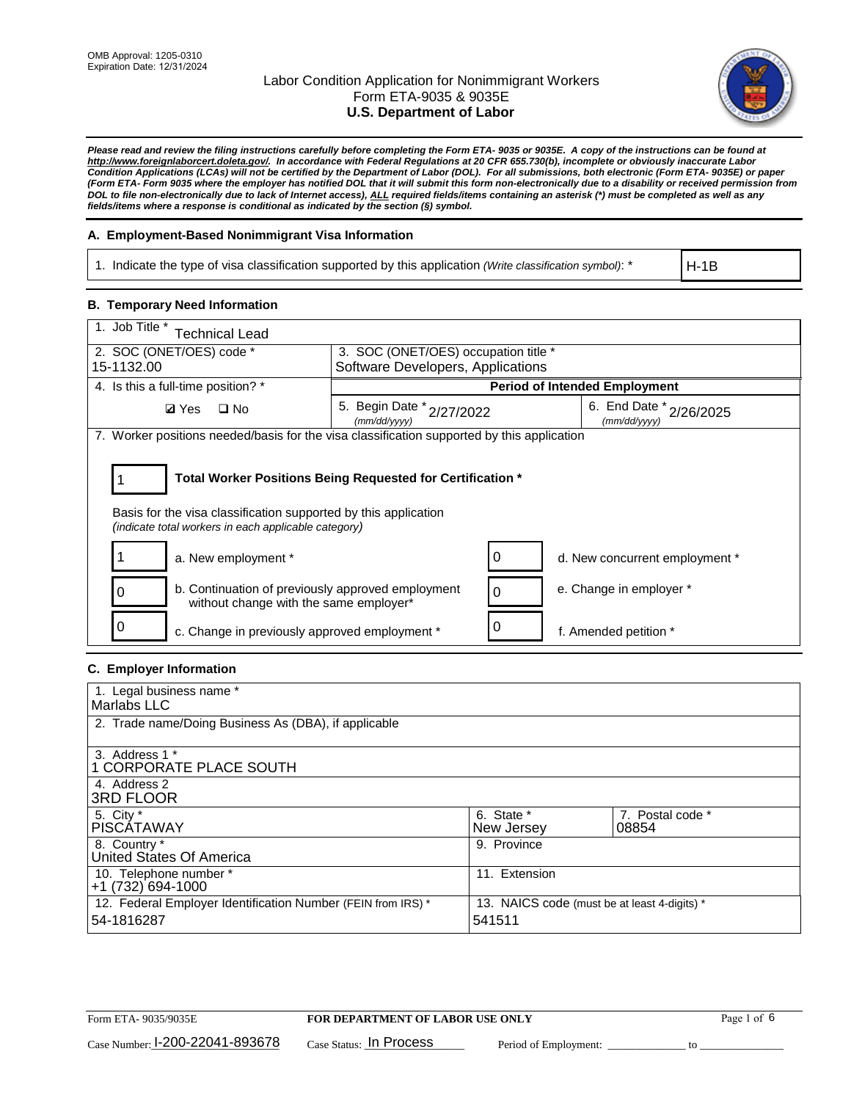

*Please read and review the filing instructions carefully before completing the Form ETA- 9035 or 9035E. A copy of the instructions can be found at http://www.foreignlaborcert.doleta.gov/. In accordance with Federal Regulations at 20 CFR 655.730(b), incomplete or obviously inaccurate Labor Condition Applications (LCAs) will not be certified by the Department of Labor (DOL). For all submissions, both electronic (Form ETA- 9035E) or paper (Form ETA- Form 9035 where the employer has notified DOL that it will submit this form non-electronically due to a disability or received permission from DOL to file non-electronically due to lack of Internet access), ALL required fields/items containing an asterisk (\*) must be completed as well as any fields/items where a response is conditional as indicated by the section (§) symbol.* 

## **A. Employment-Based Nonimmigrant Visa Information**

1. Indicate the type of visa classification supported by this application *(Write classification symbol)*: \*

H-1B

## **B. Temporary Need Information**

| 1. Job Title *<br><b>Technical Lead</b>                                                                                 |                                                            |                                         |
|-------------------------------------------------------------------------------------------------------------------------|------------------------------------------------------------|-----------------------------------------|
| 2. SOC (ONET/OES) code *                                                                                                | 3. SOC (ONET/OES) occupation title *                       |                                         |
| 15-1132.00                                                                                                              | Software Developers, Applications                          |                                         |
| 4. Is this a full-time position? *                                                                                      |                                                            | <b>Period of Intended Employment</b>    |
| <b>Ø</b> Yes<br>$\square$ No                                                                                            | 5. Begin Date * 2/27/2022<br>(mm/dd/yyyy)                  | 6. End Date * 2/26/2025<br>(mm/dd/yyyy) |
| 7. Worker positions needed/basis for the visa classification supported by this application                              |                                                            |                                         |
| Basis for the visa classification supported by this application<br>(indicate total workers in each applicable category) | Total Worker Positions Being Requested for Certification * |                                         |
| a. New employment *                                                                                                     | 0                                                          | d. New concurrent employment *          |
| b. Continuation of previously approved employment<br>without change with the same employer*                             | 0                                                          | e. Change in employer *                 |
| c. Change in previously approved employment *                                                                           | 0                                                          | f. Amended petition *                   |

## **C. Employer Information**

| 1. Legal business name *                                                   |                                                        |                           |  |
|----------------------------------------------------------------------------|--------------------------------------------------------|---------------------------|--|
| Marlabs LLC                                                                |                                                        |                           |  |
| 2. Trade name/Doing Business As (DBA), if applicable                       |                                                        |                           |  |
| 3. Address 1 *<br>1 CORPORATE PLACE SOUTH<br>4. Address 2                  |                                                        |                           |  |
| <b>3RD FLOOR</b>                                                           |                                                        |                           |  |
| 5. City *<br><b>PISCÁTAWAY</b>                                             | 6. State *<br>New Jersey                               | 7. Postal code *<br>08854 |  |
| 8. Country *<br>United States Of America                                   | 9. Province                                            |                           |  |
| 10. Telephone number *<br>$+1(732)694-1000$                                | 11. Extension                                          |                           |  |
| 12. Federal Employer Identification Number (FEIN from IRS) *<br>54-1816287 | 13. NAICS code (must be at least 4-digits) *<br>541511 |                           |  |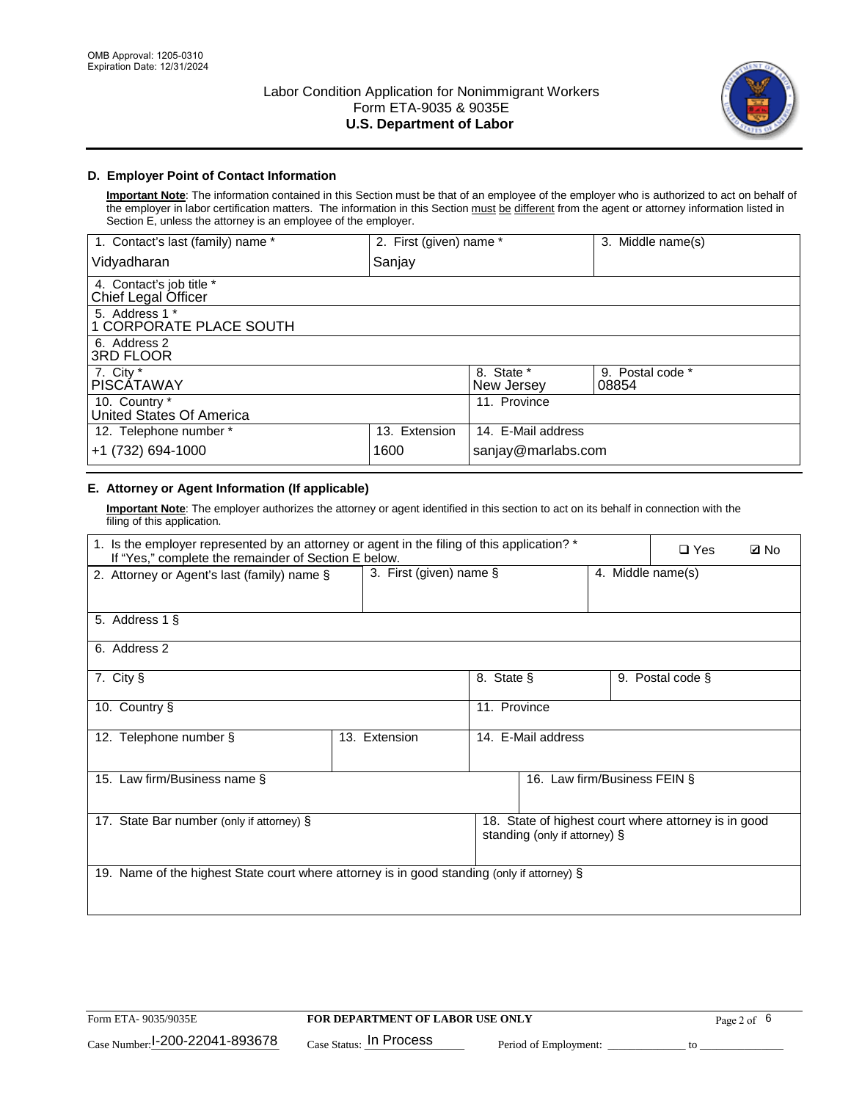

# **D. Employer Point of Contact Information**

**Important Note**: The information contained in this Section must be that of an employee of the employer who is authorized to act on behalf of the employer in labor certification matters. The information in this Section must be different from the agent or attorney information listed in Section E, unless the attorney is an employee of the employer.

| 1. Contact's last (family) name *               | 2. First (given) name * |                          | 3. Middle name(s)         |
|-------------------------------------------------|-------------------------|--------------------------|---------------------------|
| Vidyadharan                                     | Sanjay                  |                          |                           |
| 4. Contact's job title *<br>Chief Legal Officer |                         |                          |                           |
| 5. Address 1 *<br>1 CORPORATE PLACE SOUTH       |                         |                          |                           |
| 6. Address 2<br>3RD FLOOR                       |                         |                          |                           |
| 7. City $*$<br><b>PISCÁTAWAY</b>                |                         | 8. State *<br>New Jersey | 9. Postal code *<br>08854 |
| 10. Country *<br>United States Of America       |                         | 11. Province             |                           |
| 12. Telephone number *                          | 13. Extension           | 14. E-Mail address       |                           |
| +1 (732) 694-1000                               | 1600                    | sanjay@marlabs.com       |                           |

# **E. Attorney or Agent Information (If applicable)**

**Important Note**: The employer authorizes the attorney or agent identified in this section to act on its behalf in connection with the filing of this application.

| 1. Is the employer represented by an attorney or agent in the filing of this application? *<br>If "Yes," complete the remainder of Section E below. |               |                    |                               |  | $\square$ Yes                                        | <b>ØNo</b> |
|-----------------------------------------------------------------------------------------------------------------------------------------------------|---------------|--------------------|-------------------------------|--|------------------------------------------------------|------------|
| 3. First (given) name §<br>4. Middle name(s)<br>2. Attorney or Agent's last (family) name §                                                         |               |                    |                               |  |                                                      |            |
| 5. Address 1 §                                                                                                                                      |               |                    |                               |  |                                                      |            |
| 6. Address 2                                                                                                                                        |               |                    |                               |  |                                                      |            |
| 7. City §                                                                                                                                           |               | 8. State §         |                               |  | 9. Postal code §                                     |            |
| 10. Country §                                                                                                                                       |               | 11. Province       |                               |  |                                                      |            |
| 12. Telephone number §                                                                                                                              | 13. Extension | 14. E-Mail address |                               |  |                                                      |            |
| 15. Law firm/Business name §                                                                                                                        |               |                    | 16. Law firm/Business FEIN §  |  |                                                      |            |
| 17. State Bar number (only if attorney) §                                                                                                           |               |                    | standing (only if attorney) § |  | 18. State of highest court where attorney is in good |            |
| 19. Name of the highest State court where attorney is in good standing (only if attorney) §                                                         |               |                    |                               |  |                                                      |            |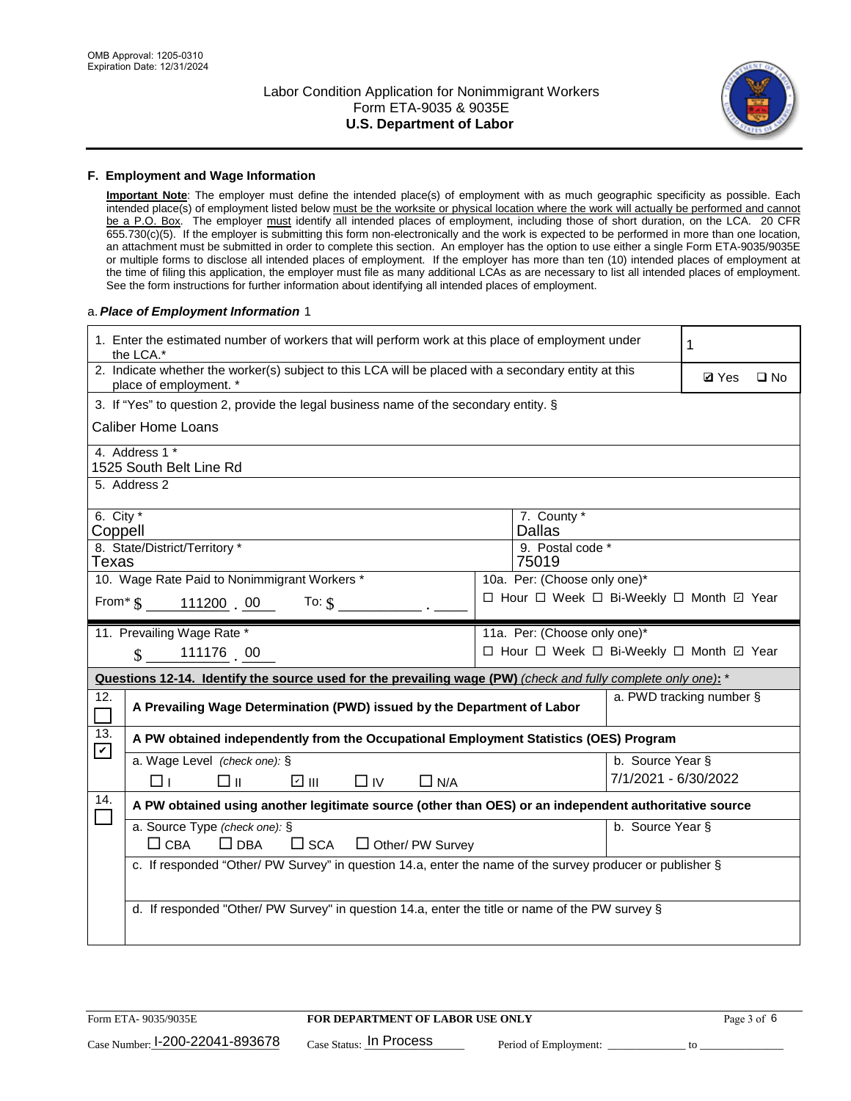

#### **F. Employment and Wage Information**

**Important Note**: The employer must define the intended place(s) of employment with as much geographic specificity as possible. Each intended place(s) of employment listed below must be the worksite or physical location where the work will actually be performed and cannot be a P.O. Box. The employer must identify all intended places of employment, including those of short duration, on the LCA. 20 CFR 655.730(c)(5). If the employer is submitting this form non-electronically and the work is expected to be performed in more than one location, an attachment must be submitted in order to complete this section. An employer has the option to use either a single Form ETA-9035/9035E or multiple forms to disclose all intended places of employment. If the employer has more than ten (10) intended places of employment at the time of filing this application, the employer must file as many additional LCAs as are necessary to list all intended places of employment. See the form instructions for further information about identifying all intended places of employment.

#### a.*Place of Employment Information* 1

| 1. Enter the estimated number of workers that will perform work at this place of employment under<br>the LCA.* |                                                                                                                                |  |                                          |                      | 1            |              |  |  |
|----------------------------------------------------------------------------------------------------------------|--------------------------------------------------------------------------------------------------------------------------------|--|------------------------------------------|----------------------|--------------|--------------|--|--|
|                                                                                                                | 2. Indicate whether the worker(s) subject to this LCA will be placed with a secondary entity at this<br>place of employment. * |  |                                          |                      | <b>Ø</b> Yes | $\square$ No |  |  |
|                                                                                                                | 3. If "Yes" to question 2, provide the legal business name of the secondary entity. §                                          |  |                                          |                      |              |              |  |  |
|                                                                                                                | <b>Caliber Home Loans</b>                                                                                                      |  |                                          |                      |              |              |  |  |
|                                                                                                                | 4. Address 1 *<br>1525 South Belt Line Rd                                                                                      |  |                                          |                      |              |              |  |  |
|                                                                                                                | 5. Address 2                                                                                                                   |  |                                          |                      |              |              |  |  |
|                                                                                                                | 6. City $*$<br>7. County *<br><b>Dallas</b><br>Coppell                                                                         |  |                                          |                      |              |              |  |  |
|                                                                                                                | 8. State/District/Territory *<br>9. Postal code *<br>Texas<br>75019                                                            |  |                                          |                      |              |              |  |  |
| 10. Wage Rate Paid to Nonimmigrant Workers *<br>10a. Per: (Choose only one)*                                   |                                                                                                                                |  |                                          |                      |              |              |  |  |
|                                                                                                                | □ Hour □ Week □ Bi-Weekly □ Month ☑ Year<br>From $\text{\$}$ 111200 00<br>To: $$$                                              |  |                                          |                      |              |              |  |  |
|                                                                                                                | 11. Prevailing Wage Rate *<br>11a. Per: (Choose only one)*                                                                     |  |                                          |                      |              |              |  |  |
|                                                                                                                | 111176 00<br>$\mathcal{S}$                                                                                                     |  | □ Hour □ Week □ Bi-Weekly □ Month ☑ Year |                      |              |              |  |  |
| Questions 12-14. Identify the source used for the prevailing wage (PW) (check and fully complete only one): *  |                                                                                                                                |  |                                          |                      |              |              |  |  |
| 12.<br>$\Box$                                                                                                  | a. PWD tracking number §<br>A Prevailing Wage Determination (PWD) issued by the Department of Labor                            |  |                                          |                      |              |              |  |  |
| 13.<br>$\blacktriangledown$                                                                                    | A PW obtained independently from the Occupational Employment Statistics (OES) Program                                          |  |                                          |                      |              |              |  |  |
|                                                                                                                | a. Wage Level (check one): §                                                                                                   |  |                                          | b. Source Year §     |              |              |  |  |
|                                                                                                                | ☑ Ⅲ<br>□⊪<br>$\Box$ IV<br>$\Box$ N/A<br>⊓⊥                                                                                     |  |                                          | 7/1/2021 - 6/30/2022 |              |              |  |  |
| 14.                                                                                                            | A PW obtained using another legitimate source (other than OES) or an independent authoritative source                          |  |                                          |                      |              |              |  |  |
|                                                                                                                | a. Source Type (check one): §<br>b. Source Year §<br>$\Box$ CBA<br>$\Box$ DBA<br>$\square$ SCA<br>$\Box$ Other/ PW Survey      |  |                                          |                      |              |              |  |  |
|                                                                                                                | c. If responded "Other/ PW Survey" in question 14.a, enter the name of the survey producer or publisher §                      |  |                                          |                      |              |              |  |  |
|                                                                                                                | d. If responded "Other/ PW Survey" in question 14.a, enter the title or name of the PW survey §                                |  |                                          |                      |              |              |  |  |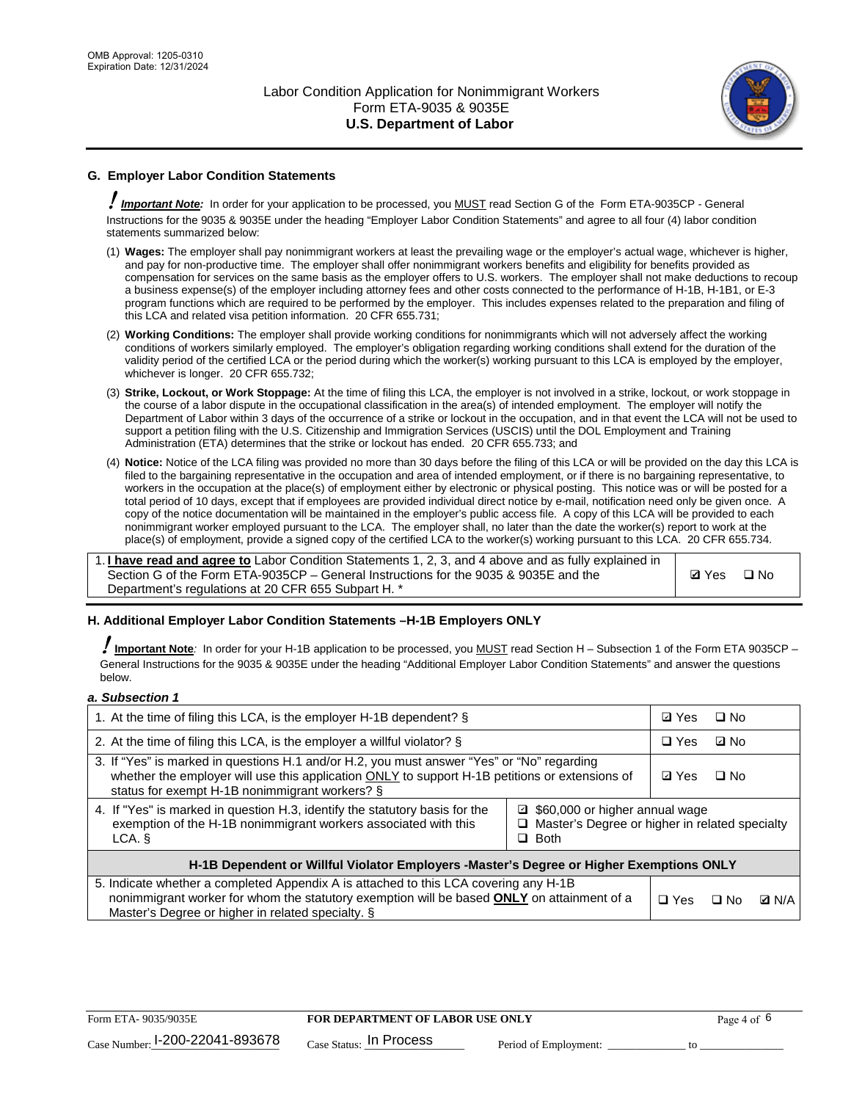

# **G. Employer Labor Condition Statements**

! *Important Note:* In order for your application to be processed, you MUST read Section G of the Form ETA-9035CP - General Instructions for the 9035 & 9035E under the heading "Employer Labor Condition Statements" and agree to all four (4) labor condition statements summarized below:

- (1) **Wages:** The employer shall pay nonimmigrant workers at least the prevailing wage or the employer's actual wage, whichever is higher, and pay for non-productive time. The employer shall offer nonimmigrant workers benefits and eligibility for benefits provided as compensation for services on the same basis as the employer offers to U.S. workers. The employer shall not make deductions to recoup a business expense(s) of the employer including attorney fees and other costs connected to the performance of H-1B, H-1B1, or E-3 program functions which are required to be performed by the employer. This includes expenses related to the preparation and filing of this LCA and related visa petition information. 20 CFR 655.731;
- (2) **Working Conditions:** The employer shall provide working conditions for nonimmigrants which will not adversely affect the working conditions of workers similarly employed. The employer's obligation regarding working conditions shall extend for the duration of the validity period of the certified LCA or the period during which the worker(s) working pursuant to this LCA is employed by the employer, whichever is longer. 20 CFR 655.732;
- (3) **Strike, Lockout, or Work Stoppage:** At the time of filing this LCA, the employer is not involved in a strike, lockout, or work stoppage in the course of a labor dispute in the occupational classification in the area(s) of intended employment. The employer will notify the Department of Labor within 3 days of the occurrence of a strike or lockout in the occupation, and in that event the LCA will not be used to support a petition filing with the U.S. Citizenship and Immigration Services (USCIS) until the DOL Employment and Training Administration (ETA) determines that the strike or lockout has ended. 20 CFR 655.733; and
- (4) **Notice:** Notice of the LCA filing was provided no more than 30 days before the filing of this LCA or will be provided on the day this LCA is filed to the bargaining representative in the occupation and area of intended employment, or if there is no bargaining representative, to workers in the occupation at the place(s) of employment either by electronic or physical posting. This notice was or will be posted for a total period of 10 days, except that if employees are provided individual direct notice by e-mail, notification need only be given once. A copy of the notice documentation will be maintained in the employer's public access file. A copy of this LCA will be provided to each nonimmigrant worker employed pursuant to the LCA. The employer shall, no later than the date the worker(s) report to work at the place(s) of employment, provide a signed copy of the certified LCA to the worker(s) working pursuant to this LCA. 20 CFR 655.734.

1. **I have read and agree to** Labor Condition Statements 1, 2, 3, and 4 above and as fully explained in Section G of the Form ETA-9035CP – General Instructions for the 9035 & 9035E and the Department's regulations at 20 CFR 655 Subpart H. \*

**Ø**Yes ロNo

## **H. Additional Employer Labor Condition Statements –H-1B Employers ONLY**

!**Important Note***:* In order for your H-1B application to be processed, you MUST read Section H – Subsection 1 of the Form ETA 9035CP – General Instructions for the 9035 & 9035E under the heading "Additional Employer Labor Condition Statements" and answer the questions below.

#### *a. Subsection 1*

| 1. At the time of filing this LCA, is the employer H-1B dependent? §                                                                                                                                                                                            |            |      | $\square$ No |  |  |
|-----------------------------------------------------------------------------------------------------------------------------------------------------------------------------------------------------------------------------------------------------------------|------------|------|--------------|--|--|
| 2. At the time of filing this LCA, is the employer a willful violator? $\S$                                                                                                                                                                                     |            |      | ⊡ No         |  |  |
| 3. If "Yes" is marked in questions H.1 and/or H.2, you must answer "Yes" or "No" regarding<br>whether the employer will use this application ONLY to support H-1B petitions or extensions of<br>status for exempt H-1B nonimmigrant workers? §                  |            |      | $\Box$ No    |  |  |
| 4. If "Yes" is marked in question H.3, identify the statutory basis for the<br>■ \$60,000 or higher annual wage<br>exemption of the H-1B nonimmigrant workers associated with this<br>□ Master's Degree or higher in related specialty<br>$\Box$ Both<br>LCA. § |            |      |              |  |  |
| H-1B Dependent or Willful Violator Employers -Master's Degree or Higher Exemptions ONLY                                                                                                                                                                         |            |      |              |  |  |
| 5. Indicate whether a completed Appendix A is attached to this LCA covering any H-1B<br>nonimmigrant worker for whom the statutory exemption will be based <b>ONLY</b> on attainment of a<br>Master's Degree or higher in related specialty. §                  | $\Box$ Yes | ⊡ No | <b>Q</b> N/A |  |  |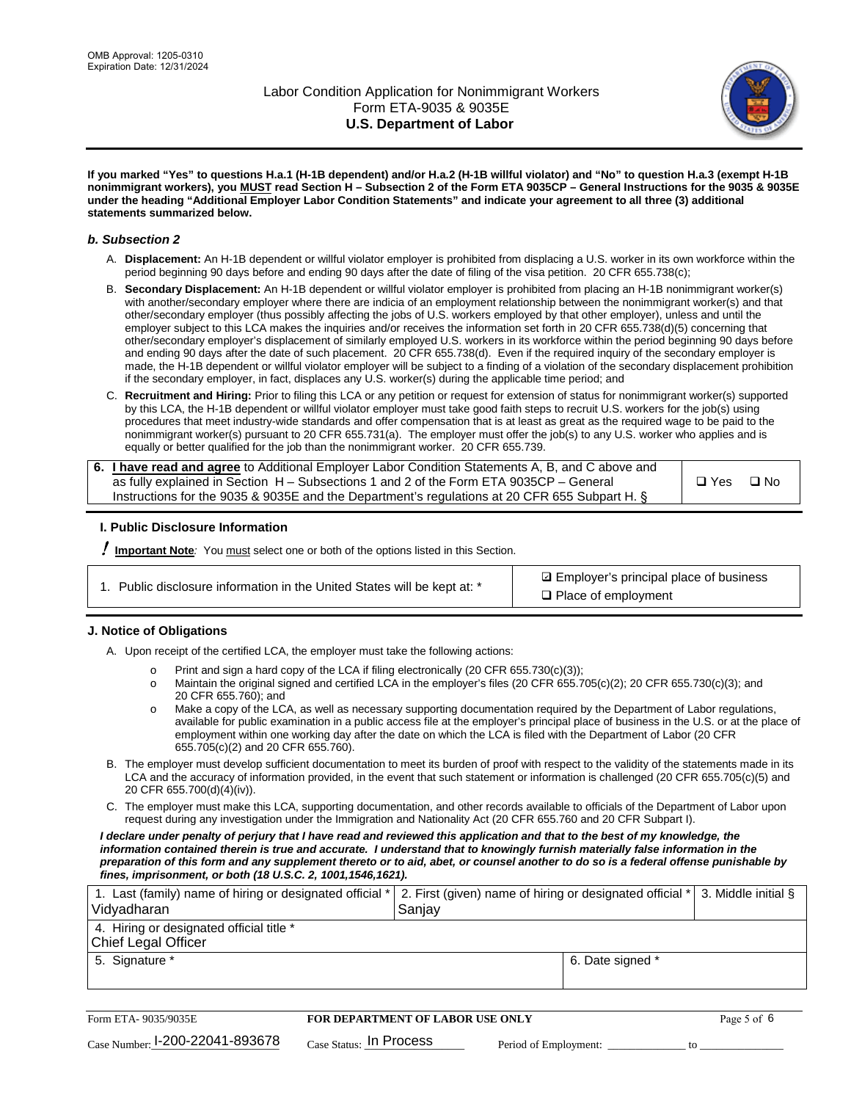

**If you marked "Yes" to questions H.a.1 (H-1B dependent) and/or H.a.2 (H-1B willful violator) and "No" to question H.a.3 (exempt H-1B nonimmigrant workers), you MUST read Section H – Subsection 2 of the Form ETA 9035CP – General Instructions for the 9035 & 9035E under the heading "Additional Employer Labor Condition Statements" and indicate your agreement to all three (3) additional statements summarized below.**

#### *b. Subsection 2*

- A. **Displacement:** An H-1B dependent or willful violator employer is prohibited from displacing a U.S. worker in its own workforce within the period beginning 90 days before and ending 90 days after the date of filing of the visa petition. 20 CFR 655.738(c);
- B. **Secondary Displacement:** An H-1B dependent or willful violator employer is prohibited from placing an H-1B nonimmigrant worker(s) with another/secondary employer where there are indicia of an employment relationship between the nonimmigrant worker(s) and that other/secondary employer (thus possibly affecting the jobs of U.S. workers employed by that other employer), unless and until the employer subject to this LCA makes the inquiries and/or receives the information set forth in 20 CFR 655.738(d)(5) concerning that other/secondary employer's displacement of similarly employed U.S. workers in its workforce within the period beginning 90 days before and ending 90 days after the date of such placement. 20 CFR 655.738(d). Even if the required inquiry of the secondary employer is made, the H-1B dependent or willful violator employer will be subject to a finding of a violation of the secondary displacement prohibition if the secondary employer, in fact, displaces any U.S. worker(s) during the applicable time period; and
- C. **Recruitment and Hiring:** Prior to filing this LCA or any petition or request for extension of status for nonimmigrant worker(s) supported by this LCA, the H-1B dependent or willful violator employer must take good faith steps to recruit U.S. workers for the job(s) using procedures that meet industry-wide standards and offer compensation that is at least as great as the required wage to be paid to the nonimmigrant worker(s) pursuant to 20 CFR 655.731(a). The employer must offer the job(s) to any U.S. worker who applies and is equally or better qualified for the job than the nonimmigrant worker. 20 CFR 655.739.

| 6. I have read and agree to Additional Employer Labor Condition Statements A, B, and C above and |       |           |
|--------------------------------------------------------------------------------------------------|-------|-----------|
| as fully explained in Section H – Subsections 1 and 2 of the Form ETA 9035CP – General           | □ Yes | $\Box$ No |
| Instructions for the 9035 & 9035E and the Department's regulations at 20 CFR 655 Subpart H. §    |       |           |

## **I. Public Disclosure Information**

! **Important Note***:* You must select one or both of the options listed in this Section.

| 1. Public disclosure information in the United States will be kept at: * |  |  |  |  |  |  |  |  |  |
|--------------------------------------------------------------------------|--|--|--|--|--|--|--|--|--|
|--------------------------------------------------------------------------|--|--|--|--|--|--|--|--|--|

**sqrt** Employer's principal place of business □ Place of employment

## **J. Notice of Obligations**

A. Upon receipt of the certified LCA, the employer must take the following actions:

- o Print and sign a hard copy of the LCA if filing electronically (20 CFR 655.730(c)(3));<br>
Maintain the original signed and certified LCA in the employer's files (20 CFR 655.7
- Maintain the original signed and certified LCA in the employer's files (20 CFR 655.705(c)(2); 20 CFR 655.730(c)(3); and 20 CFR 655.760); and
- o Make a copy of the LCA, as well as necessary supporting documentation required by the Department of Labor regulations, available for public examination in a public access file at the employer's principal place of business in the U.S. or at the place of employment within one working day after the date on which the LCA is filed with the Department of Labor (20 CFR 655.705(c)(2) and 20 CFR 655.760).
- B. The employer must develop sufficient documentation to meet its burden of proof with respect to the validity of the statements made in its LCA and the accuracy of information provided, in the event that such statement or information is challenged (20 CFR 655.705(c)(5) and 20 CFR 655.700(d)(4)(iv)).
- C. The employer must make this LCA, supporting documentation, and other records available to officials of the Department of Labor upon request during any investigation under the Immigration and Nationality Act (20 CFR 655.760 and 20 CFR Subpart I).

*I declare under penalty of perjury that I have read and reviewed this application and that to the best of my knowledge, the*  information contained therein is true and accurate. I understand that to knowingly furnish materially false information in the *preparation of this form and any supplement thereto or to aid, abet, or counsel another to do so is a federal offense punishable by fines, imprisonment, or both (18 U.S.C. 2, 1001,1546,1621).*

| 1. Last (family) name of hiring or designated official * 2. First (given) name of hiring or designated official *<br>Vidyadharan | Saniav           | 3. Middle initial § |
|----------------------------------------------------------------------------------------------------------------------------------|------------------|---------------------|
| 4. Hiring or designated official title *<br>Chief Legal Officer                                                                  |                  |                     |
| 5. Signature *                                                                                                                   | 6. Date signed * |                     |